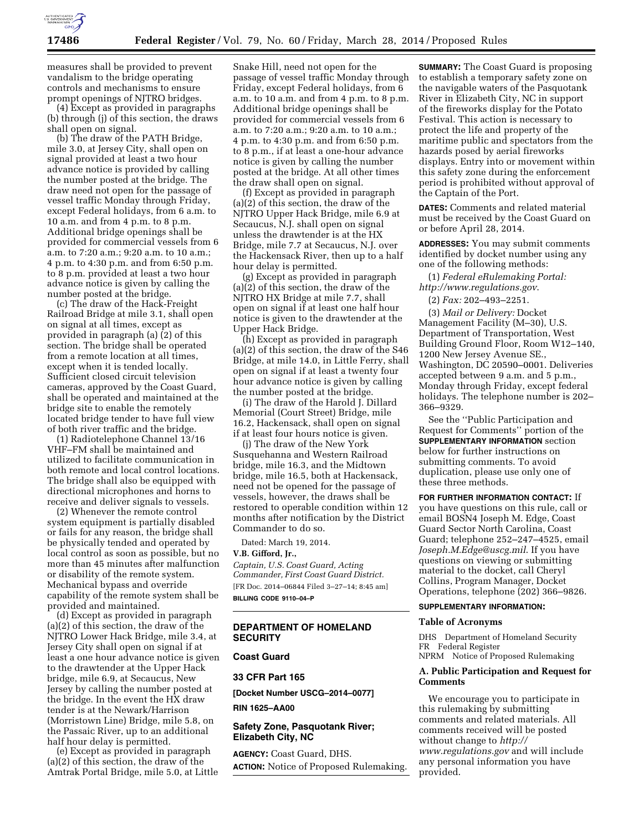

measures shall be provided to prevent vandalism to the bridge operating controls and mechanisms to ensure prompt openings of NJTRO bridges.

(4) Except as provided in paragraphs (b) through (j) of this section, the draws shall open on signal.

(b) The draw of the PATH Bridge, mile 3.0, at Jersey City, shall open on signal provided at least a two hour advance notice is provided by calling the number posted at the bridge. The draw need not open for the passage of vessel traffic Monday through Friday, except Federal holidays, from 6 a.m. to 10 a.m. and from 4 p.m. to 8 p.m. Additional bridge openings shall be provided for commercial vessels from 6 a.m. to 7:20 a.m.; 9:20 a.m. to 10 a.m.; 4 p.m. to 4:30 p.m. and from 6:50 p.m. to 8 p.m. provided at least a two hour advance notice is given by calling the number posted at the bridge.

(c) The draw of the Hack-Freight Railroad Bridge at mile 3.1, shall open on signal at all times, except as provided in paragraph (a) (2) of this section. The bridge shall be operated from a remote location at all times, except when it is tended locally. Sufficient closed circuit television cameras, approved by the Coast Guard, shall be operated and maintained at the bridge site to enable the remotely located bridge tender to have full view of both river traffic and the bridge.

(1) Radiotelephone Channel 13/16 VHF–FM shall be maintained and utilized to facilitate communication in both remote and local control locations. The bridge shall also be equipped with directional microphones and horns to receive and deliver signals to vessels.

(2) Whenever the remote control system equipment is partially disabled or fails for any reason, the bridge shall be physically tended and operated by local control as soon as possible, but no more than 45 minutes after malfunction or disability of the remote system. Mechanical bypass and override capability of the remote system shall be provided and maintained.

(d) Except as provided in paragraph (a)(2) of this section, the draw of the NJTRO Lower Hack Bridge, mile 3.4, at Jersey City shall open on signal if at least a one hour advance notice is given to the drawtender at the Upper Hack bridge, mile 6.9, at Secaucus, New Jersey by calling the number posted at the bridge. In the event the HX draw tender is at the Newark/Harrison (Morristown Line) Bridge, mile 5.8, on the Passaic River, up to an additional half hour delay is permitted.

(e) Except as provided in paragraph (a)(2) of this section, the draw of the Amtrak Portal Bridge, mile 5.0, at Little Snake Hill, need not open for the passage of vessel traffic Monday through Friday, except Federal holidays, from 6 a.m. to 10 a.m. and from 4 p.m. to 8 p.m. Additional bridge openings shall be provided for commercial vessels from 6 a.m. to 7:20 a.m.; 9:20 a.m. to 10 a.m.; 4 p.m. to 4:30 p.m. and from 6:50 p.m. to 8 p.m., if at least a one-hour advance notice is given by calling the number posted at the bridge. At all other times the draw shall open on signal.

(f) Except as provided in paragraph (a)(2) of this section, the draw of the NJTRO Upper Hack Bridge, mile 6.9 at Secaucus, N.J. shall open on signal unless the drawtender is at the HX Bridge, mile 7.7 at Secaucus, N.J. over the Hackensack River, then up to a half hour delay is permitted.

(g) Except as provided in paragraph (a)(2) of this section, the draw of the NJTRO HX Bridge at mile 7.7, shall open on signal if at least one half hour notice is given to the drawtender at the Upper Hack Bridge.

(h) Except as provided in paragraph (a)(2) of this section, the draw of the S46 Bridge, at mile 14.0, in Little Ferry, shall open on signal if at least a twenty four hour advance notice is given by calling the number posted at the bridge.

(i) The draw of the Harold J. Dillard Memorial (Court Street) Bridge, mile 16.2, Hackensack, shall open on signal if at least four hours notice is given.

(j) The draw of the New York Susquehanna and Western Railroad bridge, mile 16.3, and the Midtown bridge, mile 16.5, both at Hackensack, need not be opened for the passage of vessels, however, the draws shall be restored to operable condition within 12 months after notification by the District Commander to do so.

Dated: March 19, 2014.

## **V.B. Gifford, Jr.,**

*Captain, U.S. Coast Guard, Acting Commander, First Coast Guard District.*  [FR Doc. 2014–06844 Filed 3–27–14; 8:45 am] **BILLING CODE 9110–04–P** 

## **DEPARTMENT OF HOMELAND SECURITY**

## **Coast Guard**

#### **33 CFR Part 165**

**[Docket Number USCG–2014–0077]** 

**RIN 1625–AA00** 

**Safety Zone, Pasquotank River; Elizabeth City, NC** 

**AGENCY:** Coast Guard, DHS. **ACTION:** Notice of Proposed Rulemaking.

**SUMMARY:** The Coast Guard is proposing to establish a temporary safety zone on the navigable waters of the Pasquotank River in Elizabeth City, NC in support of the fireworks display for the Potato Festival. This action is necessary to protect the life and property of the maritime public and spectators from the hazards posed by aerial fireworks displays. Entry into or movement within this safety zone during the enforcement period is prohibited without approval of the Captain of the Port.

**DATES:** Comments and related material must be received by the Coast Guard on or before April 28, 2014.

**ADDRESSES:** You may submit comments identified by docket number using any one of the following methods:

(1) *Federal eRulemaking Portal: <http://www.regulations.gov>*.

(2) *Fax:* 202–493–2251.

(3) *Mail or Delivery:* Docket Management Facility (M–30), U.S. Department of Transportation, West Building Ground Floor, Room W12–140, 1200 New Jersey Avenue SE., Washington, DC 20590–0001. Deliveries accepted between 9 a.m. and 5 p.m., Monday through Friday, except federal holidays. The telephone number is 202– 366–9329.

See the ''Public Participation and Request for Comments'' portion of the **SUPPLEMENTARY INFORMATION** section below for further instructions on submitting comments. To avoid duplication, please use only one of these three methods.

**FOR FURTHER INFORMATION CONTACT:** If you have questions on this rule, call or email BOSN4 Joseph M. Edge, Coast Guard Sector North Carolina, Coast Guard; telephone 252–247–4525, email *[Joseph.M.Edge@uscg.mil](mailto:Joseph.M.Edge@uscg.mil)*. If you have questions on viewing or submitting material to the docket, call Cheryl Collins, Program Manager, Docket Operations, telephone (202) 366–9826.

#### **SUPPLEMENTARY INFORMATION:**

### **Table of Acronyms**

DHS Department of Homeland Security FR Federal Register NPRM Notice of Proposed Rulemaking

# **A. Public Participation and Request for Comments**

We encourage you to participate in this rulemaking by submitting comments and related materials. All comments received will be posted without change to *[http://](http://www.regulations.gov) [www.regulations.gov](http://www.regulations.gov)* and will include any personal information you have provided.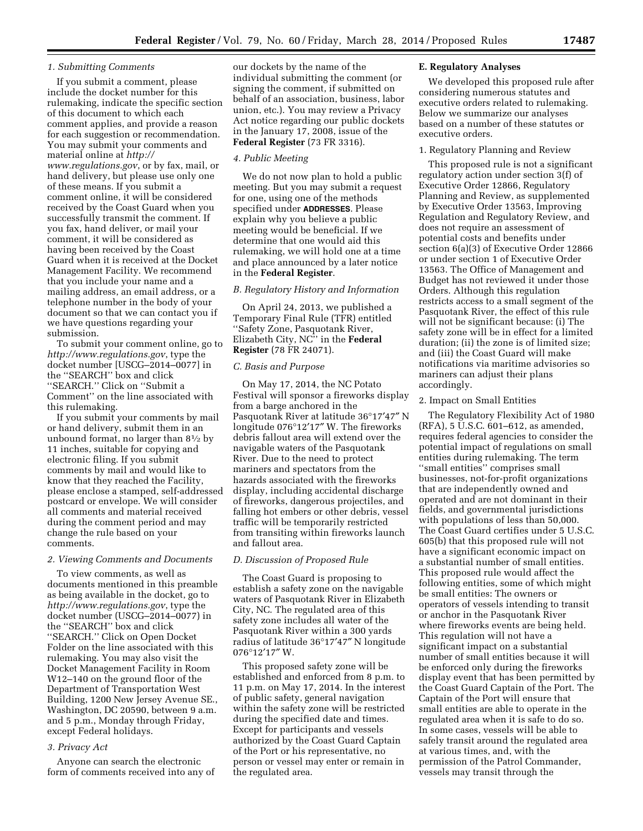# *1. Submitting Comments*

If you submit a comment, please include the docket number for this rulemaking, indicate the specific section of this document to which each comment applies, and provide a reason for each suggestion or recommendation. You may submit your comments and material online at *[http://](http://www.regulations.gov) [www.regulations.gov](http://www.regulations.gov)*, or by fax, mail, or hand delivery, but please use only one of these means. If you submit a comment online, it will be considered received by the Coast Guard when you successfully transmit the comment. If you fax, hand deliver, or mail your comment, it will be considered as having been received by the Coast Guard when it is received at the Docket Management Facility. We recommend that you include your name and a mailing address, an email address, or a telephone number in the body of your document so that we can contact you if we have questions regarding your submission.

To submit your comment online, go to *<http://www.regulations.gov>*, type the docket number [USCG–2014–0077] in the ''SEARCH'' box and click ''SEARCH.'' Click on ''Submit a Comment'' on the line associated with this rulemaking.

If you submit your comments by mail or hand delivery, submit them in an unbound format, no larger than  $8\frac{1}{2}$  by 11 inches, suitable for copying and electronic filing. If you submit comments by mail and would like to know that they reached the Facility, please enclose a stamped, self-addressed postcard or envelope. We will consider all comments and material received during the comment period and may change the rule based on your comments.

### *2. Viewing Comments and Documents*

To view comments, as well as documents mentioned in this preamble as being available in the docket, go to *<http://www.regulations.gov>*, type the docket number (USCG–2014–0077) in the ''SEARCH'' box and click ''SEARCH.'' Click on Open Docket Folder on the line associated with this rulemaking. You may also visit the Docket Management Facility in Room W12–140 on the ground floor of the Department of Transportation West Building, 1200 New Jersey Avenue SE., Washington, DC 20590, between 9 a.m. and 5 p.m., Monday through Friday, except Federal holidays.

#### *3. Privacy Act*

Anyone can search the electronic form of comments received into any of our dockets by the name of the individual submitting the comment (or signing the comment, if submitted on behalf of an association, business, labor union, etc.). You may review a Privacy Act notice regarding our public dockets in the January 17, 2008, issue of the **Federal Register** (73 FR 3316).

#### *4. Public Meeting*

We do not now plan to hold a public meeting. But you may submit a request for one, using one of the methods specified under **ADDRESSES**. Please explain why you believe a public meeting would be beneficial. If we determine that one would aid this rulemaking, we will hold one at a time and place announced by a later notice in the **Federal Register**.

#### *B. Regulatory History and Information*

On April 24, 2013, we published a Temporary Final Rule (TFR) entitled ''Safety Zone, Pasquotank River, Elizabeth City, NC'' in the **Federal Register** (78 FR 24071).

#### *C. Basis and Purpose*

On May 17, 2014, the NC Potato Festival will sponsor a fireworks display from a barge anchored in the Pasquotank River at latitude 36°17′47″ N longitude 076°12′17″ W. The fireworks debris fallout area will extend over the navigable waters of the Pasquotank River. Due to the need to protect mariners and spectators from the hazards associated with the fireworks display, including accidental discharge of fireworks, dangerous projectiles, and falling hot embers or other debris, vessel traffic will be temporarily restricted from transiting within fireworks launch and fallout area.

#### *D. Discussion of Proposed Rule*

The Coast Guard is proposing to establish a safety zone on the navigable waters of Pasquotank River in Elizabeth City, NC. The regulated area of this safety zone includes all water of the Pasquotank River within a 300 yards radius of latitude 36°17′47″ N longitude 076°12′17″ W.

This proposed safety zone will be established and enforced from 8 p.m. to 11 p.m. on May 17, 2014. In the interest of public safety, general navigation within the safety zone will be restricted during the specified date and times. Except for participants and vessels authorized by the Coast Guard Captain of the Port or his representative, no person or vessel may enter or remain in the regulated area.

### **E. Regulatory Analyses**

We developed this proposed rule after considering numerous statutes and executive orders related to rulemaking. Below we summarize our analyses based on a number of these statutes or executive orders.

## 1. Regulatory Planning and Review

This proposed rule is not a significant regulatory action under section 3(f) of Executive Order 12866, Regulatory Planning and Review, as supplemented by Executive Order 13563, Improving Regulation and Regulatory Review, and does not require an assessment of potential costs and benefits under section 6(a)(3) of Executive Order 12866 or under section 1 of Executive Order 13563. The Office of Management and Budget has not reviewed it under those Orders. Although this regulation restricts access to a small segment of the Pasquotank River, the effect of this rule will not be significant because: (i) The safety zone will be in effect for a limited duration; (ii) the zone is of limited size; and (iii) the Coast Guard will make notifications via maritime advisories so mariners can adjust their plans accordingly.

#### 2. Impact on Small Entities

The Regulatory Flexibility Act of 1980 (RFA), 5 U.S.C. 601–612, as amended, requires federal agencies to consider the potential impact of regulations on small entities during rulemaking. The term ''small entities'' comprises small businesses, not-for-profit organizations that are independently owned and operated and are not dominant in their fields, and governmental jurisdictions with populations of less than 50,000. The Coast Guard certifies under 5 U.S.C. 605(b) that this proposed rule will not have a significant economic impact on a substantial number of small entities. This proposed rule would affect the following entities, some of which might be small entities: The owners or operators of vessels intending to transit or anchor in the Pasquotank River where fireworks events are being held. This regulation will not have a significant impact on a substantial number of small entities because it will be enforced only during the fireworks display event that has been permitted by the Coast Guard Captain of the Port. The Captain of the Port will ensure that small entities are able to operate in the regulated area when it is safe to do so. In some cases, vessels will be able to safely transit around the regulated area at various times, and, with the permission of the Patrol Commander, vessels may transit through the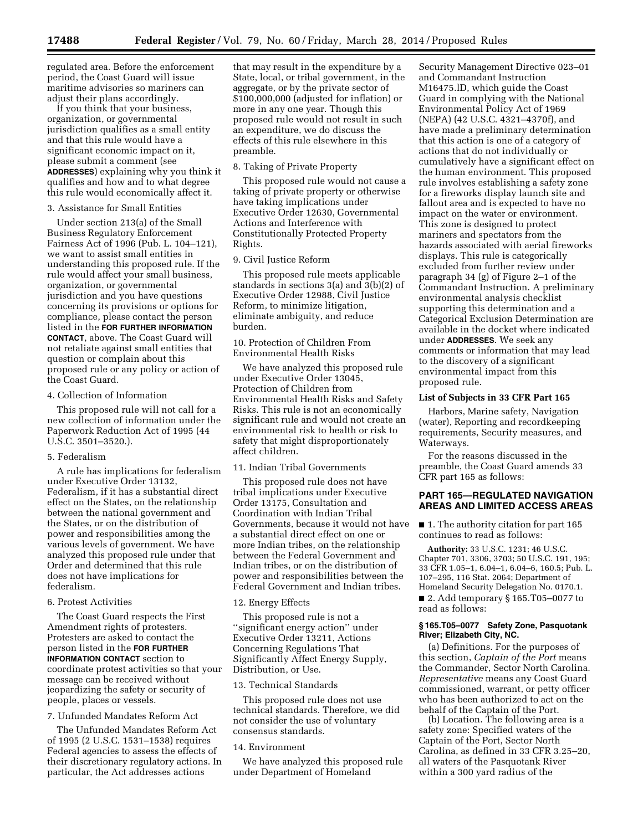regulated area. Before the enforcement period, the Coast Guard will issue maritime advisories so mariners can adjust their plans accordingly.

If you think that your business, organization, or governmental jurisdiction qualifies as a small entity and that this rule would have a significant economic impact on it, please submit a comment (see **ADDRESSES**) explaining why you think it qualifies and how and to what degree this rule would economically affect it.

## 3. Assistance for Small Entities

Under section 213(a) of the Small Business Regulatory Enforcement Fairness Act of 1996 (Pub. L. 104–121), we want to assist small entities in understanding this proposed rule. If the rule would affect your small business, organization, or governmental jurisdiction and you have questions concerning its provisions or options for compliance, please contact the person listed in the **FOR FURTHER INFORMATION CONTACT**, above. The Coast Guard will not retaliate against small entities that question or complain about this proposed rule or any policy or action of the Coast Guard.

### 4. Collection of Information

This proposed rule will not call for a new collection of information under the Paperwork Reduction Act of 1995 (44 U.S.C. 3501–3520.).

### 5. Federalism

A rule has implications for federalism under Executive Order 13132, Federalism, if it has a substantial direct effect on the States, on the relationship between the national government and the States, or on the distribution of power and responsibilities among the various levels of government. We have analyzed this proposed rule under that Order and determined that this rule does not have implications for federalism.

# 6. Protest Activities

The Coast Guard respects the First Amendment rights of protesters. Protesters are asked to contact the person listed in the **FOR FURTHER INFORMATION CONTACT** section to coordinate protest activities so that your message can be received without jeopardizing the safety or security of people, places or vessels.

### 7. Unfunded Mandates Reform Act

The Unfunded Mandates Reform Act of 1995 (2 U.S.C. 1531–1538) requires Federal agencies to assess the effects of their discretionary regulatory actions. In particular, the Act addresses actions

that may result in the expenditure by a State, local, or tribal government, in the aggregate, or by the private sector of \$100,000,000 (adjusted for inflation) or more in any one year. Though this proposed rule would not result in such an expenditure, we do discuss the effects of this rule elsewhere in this preamble.

### 8. Taking of Private Property

This proposed rule would not cause a taking of private property or otherwise have taking implications under Executive Order 12630, Governmental Actions and Interference with Constitutionally Protected Property Rights.

## 9. Civil Justice Reform

This proposed rule meets applicable standards in sections 3(a) and 3(b)(2) of Executive Order 12988, Civil Justice Reform, to minimize litigation, eliminate ambiguity, and reduce burden.

10. Protection of Children From Environmental Health Risks

We have analyzed this proposed rule under Executive Order 13045, Protection of Children from Environmental Health Risks and Safety Risks. This rule is not an economically significant rule and would not create an environmental risk to health or risk to safety that might disproportionately affect children.

### 11. Indian Tribal Governments

This proposed rule does not have tribal implications under Executive Order 13175, Consultation and Coordination with Indian Tribal Governments, because it would not have a substantial direct effect on one or more Indian tribes, on the relationship between the Federal Government and Indian tribes, or on the distribution of power and responsibilities between the Federal Government and Indian tribes.

#### 12. Energy Effects

This proposed rule is not a ''significant energy action'' under Executive Order 13211, Actions Concerning Regulations That Significantly Affect Energy Supply, Distribution, or Use.

### 13. Technical Standards

This proposed rule does not use technical standards. Therefore, we did not consider the use of voluntary consensus standards.

#### 14. Environment

We have analyzed this proposed rule under Department of Homeland

Security Management Directive 023–01 and Commandant Instruction M16475.lD, which guide the Coast Guard in complying with the National Environmental Policy Act of 1969 (NEPA) (42 U.S.C. 4321–4370f), and have made a preliminary determination that this action is one of a category of actions that do not individually or cumulatively have a significant effect on the human environment. This proposed rule involves establishing a safety zone for a fireworks display launch site and fallout area and is expected to have no impact on the water or environment. This zone is designed to protect mariners and spectators from the hazards associated with aerial fireworks displays. This rule is categorically excluded from further review under paragraph 34 (g) of Figure 2–1 of the Commandant Instruction. A preliminary environmental analysis checklist supporting this determination and a Categorical Exclusion Determination are available in the docket where indicated under **ADDRESSES**. We seek any comments or information that may lead to the discovery of a significant environmental impact from this proposed rule.

#### **List of Subjects in 33 CFR Part 165**

Harbors, Marine safety, Navigation (water), Reporting and recordkeeping requirements, Security measures, and Waterways.

For the reasons discussed in the preamble, the Coast Guard amends 33 CFR part 165 as follows:

## **PART 165—REGULATED NAVIGATION AREAS AND LIMITED ACCESS AREAS**

■ 1. The authority citation for part 165 continues to read as follows:

**Authority:** 33 U.S.C. 1231; 46 U.S.C. Chapter 701, 3306, 3703; 50 U.S.C. 191, 195; 33 CFR 1.05–1, 6.04–1, 6.04–6, 160.5; Pub. L. 107–295, 116 Stat. 2064; Department of Homeland Security Delegation No. 0170.1.

■ 2. Add temporary § 165.T05-0077 to read as follows:

### **§ 165.T05–0077 Safety Zone, Pasquotank River; Elizabeth City, NC.**

(a) Definitions. For the purposes of this section, *Captain of the Port* means the Commander, Sector North Carolina. *Representative* means any Coast Guard commissioned, warrant, or petty officer who has been authorized to act on the behalf of the Captain of the Port.

(b) Location. The following area is a safety zone: Specified waters of the Captain of the Port, Sector North Carolina, as defined in 33 CFR 3.25–20, all waters of the Pasquotank River within a 300 yard radius of the